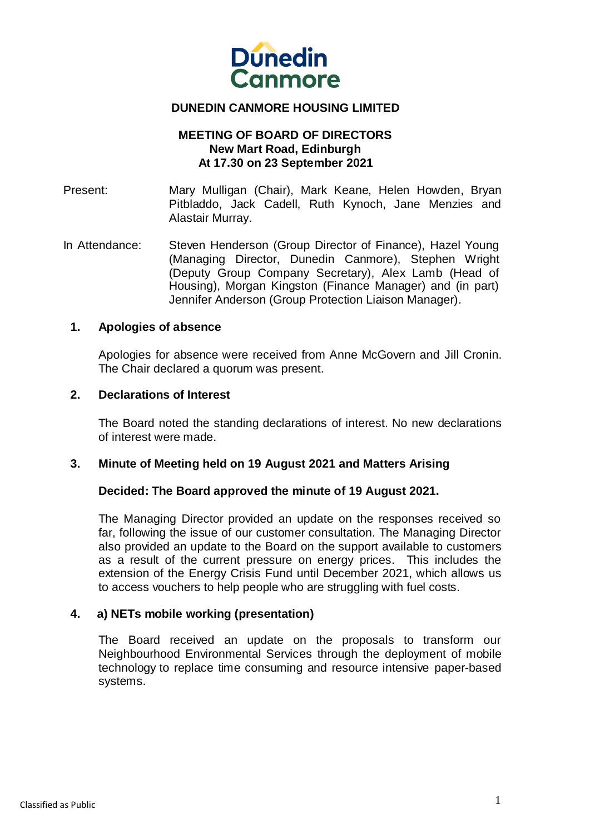

# **DUNEDIN CANMORE HOUSING LIMITED**

# **MEETING OF BOARD OF DIRECTORS New Mart Road, Edinburgh At 17.30 on 23 September 2021**

Present: Mary Mulligan (Chair), Mark Keane, Helen Howden, Bryan Pitbladdo, Jack Cadell, Ruth Kynoch, Jane Menzies and Alastair Murray.

In Attendance: Steven Henderson (Group Director of Finance), Hazel Young (Managing Director, Dunedin Canmore), Stephen Wright (Deputy Group Company Secretary), Alex Lamb (Head of Housing), Morgan Kingston (Finance Manager) and (in part) Jennifer Anderson (Group Protection Liaison Manager).

#### **1. Apologies of absence**

Apologies for absence were received from Anne McGovern and Jill Cronin. The Chair declared a quorum was present.

#### **2. Declarations of Interest**

The Board noted the standing declarations of interest. No new declarations of interest were made.

# **3. Minute of Meeting held on 19 August 2021 and Matters Arising**

#### **Decided: The Board approved the minute of 19 August 2021.**

The Managing Director provided an update on the responses received so far, following the issue of our customer consultation. The Managing Director also provided an update to the Board on the support available to customers as a result of the current pressure on energy prices. This includes the extension of the Energy Crisis Fund until December 2021, which allows us to access vouchers to help people who are struggling with fuel costs.

# **4. a) NETs mobile working (presentation)**

The Board received an update on the proposals to transform our Neighbourhood Environmental Services through the deployment of mobile technology to replace time consuming and resource intensive paper-based systems.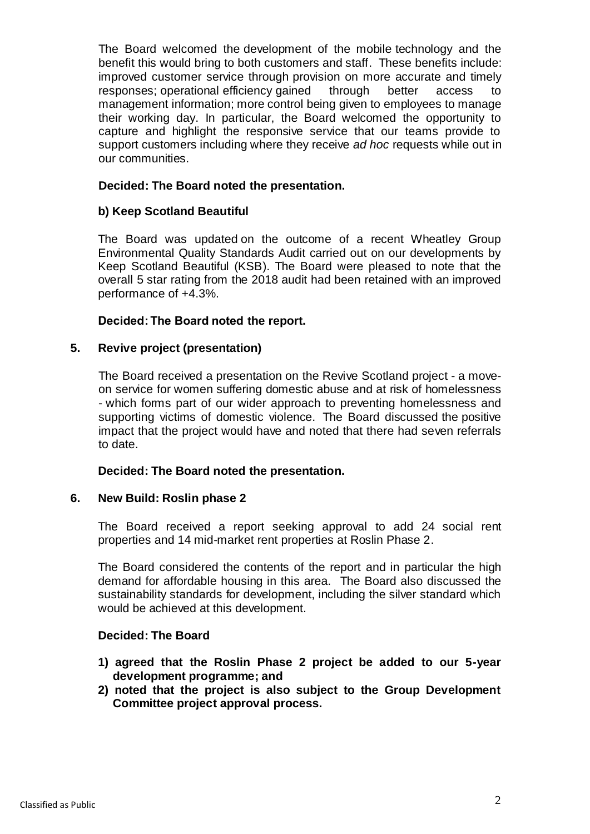The Board welcomed the development of the mobile technology and the benefit this would bring to both customers and staff. These benefits include: improved customer service through provision on more accurate and timely responses; operational efficiency gained through better access to management information; more control being given to employees to manage their working day. In particular, the Board welcomed the opportunity to capture and highlight the responsive service that our teams provide to support customers including where they receive *ad hoc* requests while out in our communities.

## **Decided: The Board noted the presentation.**

#### **b) Keep Scotland Beautiful**

The Board was updated on the outcome of a recent Wheatley Group Environmental Quality Standards Audit carried out on our developments by Keep Scotland Beautiful (KSB). The Board were pleased to note that the overall 5 star rating from the 2018 audit had been retained with an improved performance of +4.3%.

#### **Decided: The Board noted the report.**

#### **5. Revive project (presentation)**

The Board received a presentation on the Revive Scotland project - a moveon service for women suffering domestic abuse and at risk of homelessness - which forms part of our wider approach to preventing homelessness and supporting victims of domestic violence. The Board discussed the positive impact that the project would have and noted that there had seven referrals to date.

#### **Decided: The Board noted the presentation.**

#### **6. New Build: Roslin phase 2**

The Board received a report seeking approval to add 24 social rent properties and 14 mid-market rent properties at Roslin Phase 2.

The Board considered the contents of the report and in particular the high demand for affordable housing in this area. The Board also discussed the sustainability standards for development, including the silver standard which would be achieved at this development.

#### **Decided: The Board**

- **1) agreed that the Roslin Phase 2 project be added to our 5-year development programme; and**
- **2) noted that the project is also subject to the Group Development Committee project approval process.**